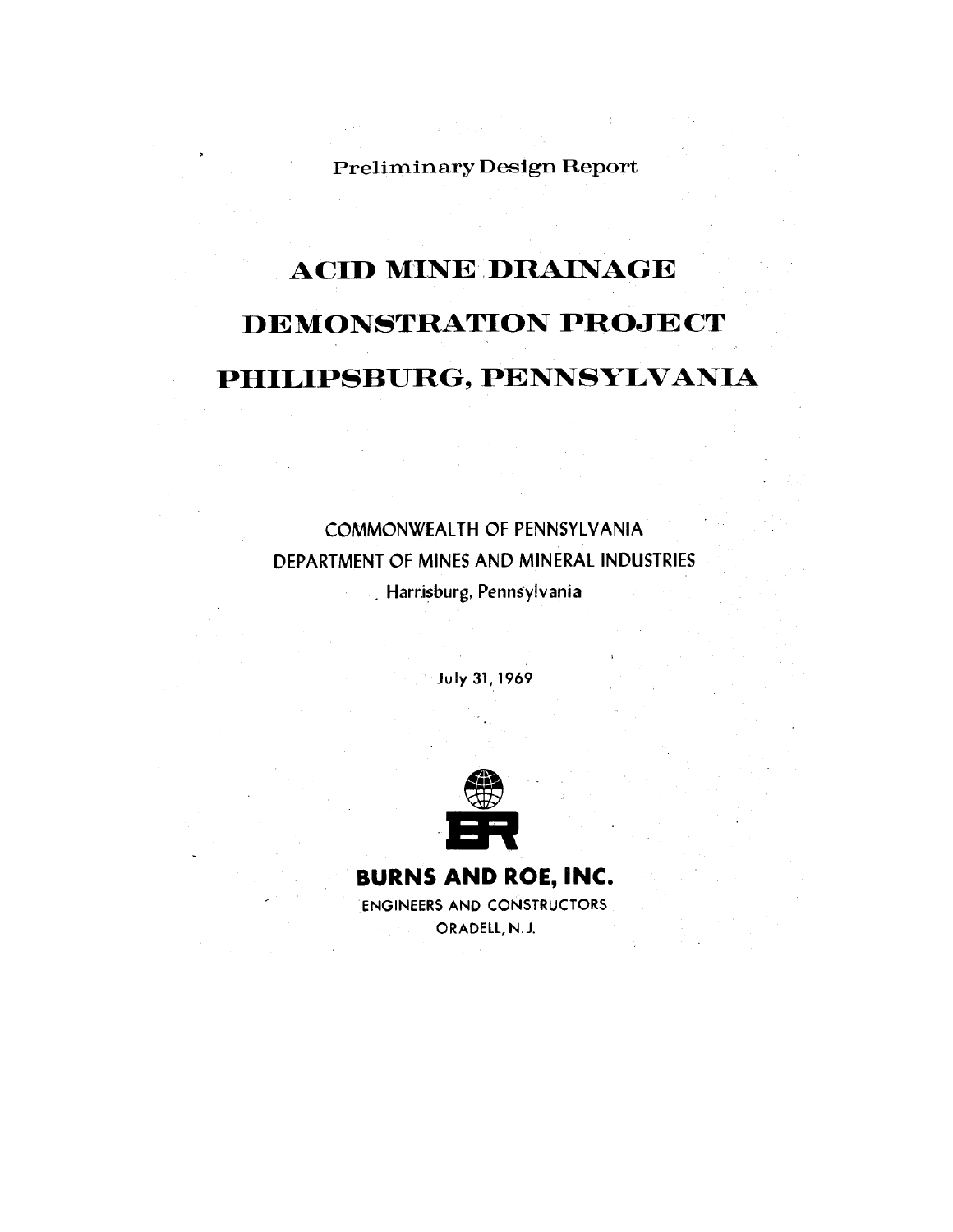**Preliminary Design Report** 

# **ACID MINE DRAINAGE DEMONSTRATION PROJECT** PHILIPSBURG, PENNSYLVANIA

## COMMONWEALTH OF PENNSYLVANIA DEPARTMENT OF MINES AND MINERAL INDUSTRIES Harrisburg, Pennsylvania

July 31, 1969



## **BURNS AND ROE, INC.**

**ENGINEERS AND CONSTRUCTORS** ORADELL, N.J.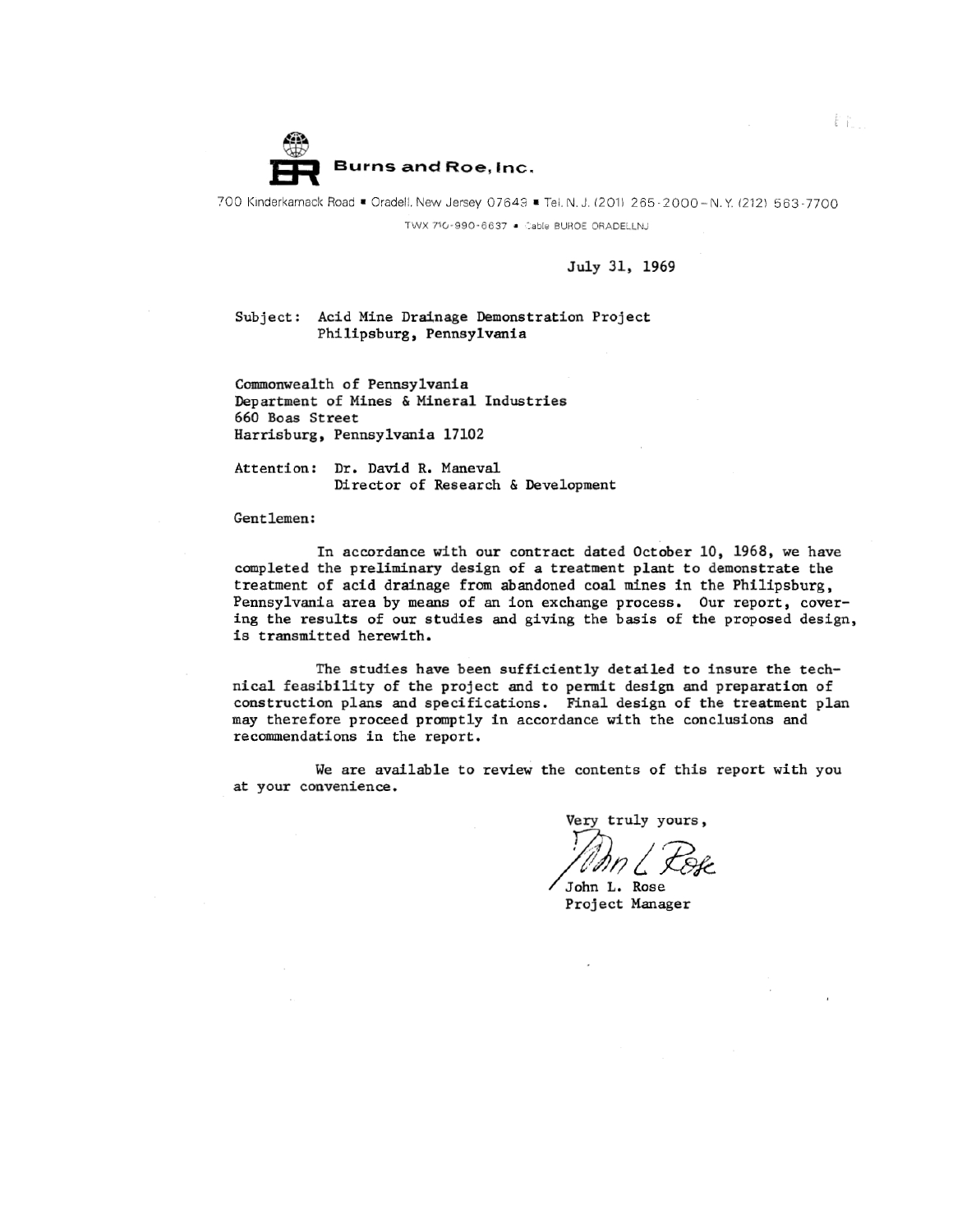

TWX 710-990-6637 . Cable BUROE ORADELLNJ

#### July 31, 1969

#### Subject: Acid Mine Drainage Demonstration Project Philipsburg, Pennsylvania

Commonwealth of Pennsylvania Department of Mines & Mineral Industries 660 Boas Street Harrisburg, Pennsylvania 17102

Attention: Dr. David R. Maneval Director of Research & Development

Gentlemen:

In accordance with our contract dated October 10, 1968, we have completed the preliminary design of a treatment plant to demonstrate the treatment of acid drainage from abandoned coal mines in the Philipsburg, Pennsylvania area by means of an ion exchange process. Our report, covering the results of our studies and giving the basis of the proposed design, is transmitted herewith.

The studies have been sufficiently detailed to insure the technical feasibility of the project and to permit design and preparation of construction plans and specifications. Final design of the treatment plan may therefore proceed promptly in accordance with the conclusions and recommendations in the report.

We are available to review the contents of this report with you at your convenience.

Very truly yours,

John L. Rose Project Manager

ÈÈ.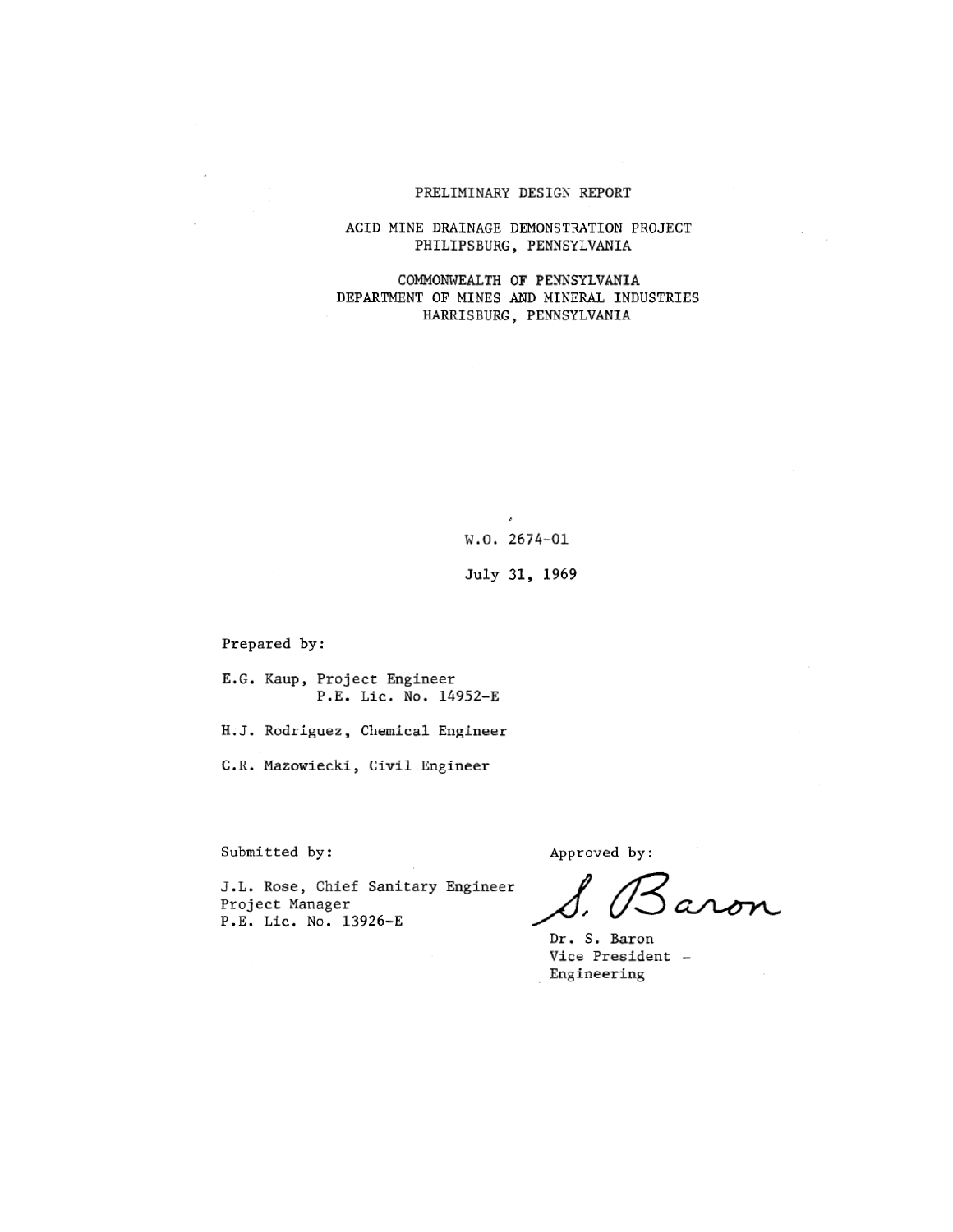#### PRELIMINARY DESIGN REPORT

#### ACID MINE DRAINAGE DEMONSTRATION PROJECT PHILIPSBURG, PENNSYLVANIA

COMMONWEALTH OF PENNSYLVANIA DEPARTMENT OF MINES AND MINERAL INDUSTRIES HARRISBURG, PENNSYLVANIA

> $W.0.2674 - 01$ July 31, 1969

Prepared by:

E.G. Kaup, Project Engineer P.E. Lic. No. 14952-E

H.J. Rodriguez, Chemical Engineer

J.L. Rose, Chief Sanitary Engineer

C.R. Mazowiecki, Civil Engineer

Submitted by:

Project Manager P.E. Lic. No. 13926-E Approved by:

 $\sigma$ n

Dr. S. Baron Vice President -Engineering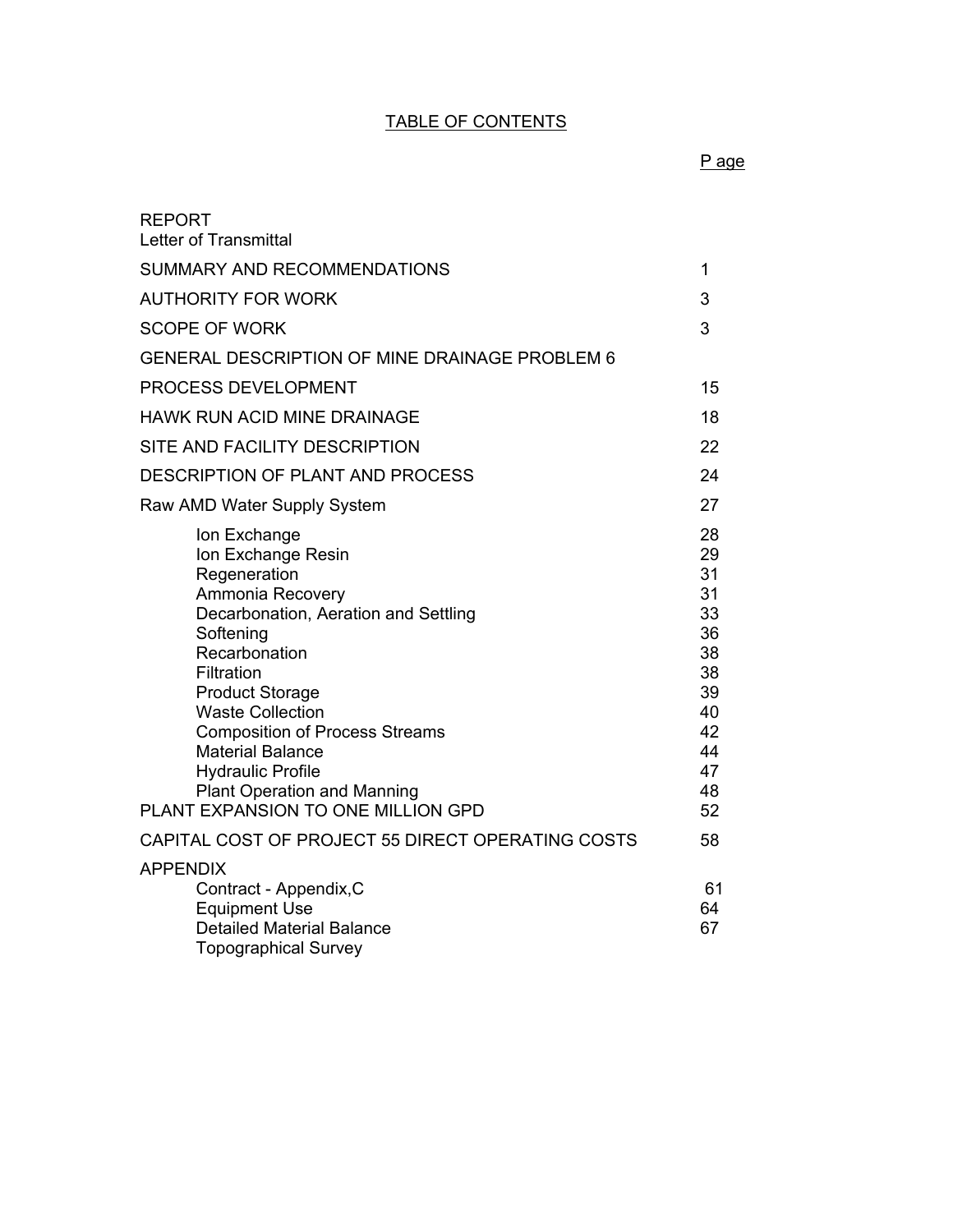## TABLE OF CONTENTS

| <b>REPORT</b><br><b>Letter of Transmittal</b>                                                                                                                                                                                                                                                                                                                                               |                                                                                        |
|---------------------------------------------------------------------------------------------------------------------------------------------------------------------------------------------------------------------------------------------------------------------------------------------------------------------------------------------------------------------------------------------|----------------------------------------------------------------------------------------|
| SUMMARY AND RECOMMENDATIONS                                                                                                                                                                                                                                                                                                                                                                 | 1                                                                                      |
| <b>AUTHORITY FOR WORK</b>                                                                                                                                                                                                                                                                                                                                                                   | 3                                                                                      |
| <b>SCOPE OF WORK</b>                                                                                                                                                                                                                                                                                                                                                                        | 3                                                                                      |
| <b>GENERAL DESCRIPTION OF MINE DRAINAGE PROBLEM 6</b>                                                                                                                                                                                                                                                                                                                                       |                                                                                        |
| PROCESS DEVELOPMENT                                                                                                                                                                                                                                                                                                                                                                         | 15                                                                                     |
| <b>HAWK RUN ACID MINE DRAINAGE</b>                                                                                                                                                                                                                                                                                                                                                          | 18                                                                                     |
| SITE AND FACILITY DESCRIPTION                                                                                                                                                                                                                                                                                                                                                               | 22                                                                                     |
| <b>DESCRIPTION OF PLANT AND PROCESS</b>                                                                                                                                                                                                                                                                                                                                                     | 24                                                                                     |
| Raw AMD Water Supply System                                                                                                                                                                                                                                                                                                                                                                 | 27                                                                                     |
| Ion Exchange<br>Ion Exchange Resin<br>Regeneration<br>Ammonia Recovery<br>Decarbonation, Aeration and Settling<br>Softening<br>Recarbonation<br>Filtration<br><b>Product Storage</b><br><b>Waste Collection</b><br><b>Composition of Process Streams</b><br><b>Material Balance</b><br><b>Hydraulic Profile</b><br><b>Plant Operation and Manning</b><br>PLANT EXPANSION TO ONE MILLION GPD | 28<br>29<br>31<br>31<br>33<br>36<br>38<br>38<br>39<br>40<br>42<br>44<br>47<br>48<br>52 |
| CAPITAL COST OF PROJECT 55 DIRECT OPERATING COSTS                                                                                                                                                                                                                                                                                                                                           | 58                                                                                     |
| <b>APPENDIX</b><br>Contract - Appendix, C<br><b>Equipment Use</b><br><b>Detailed Material Balance</b><br><b>Topographical Survey</b>                                                                                                                                                                                                                                                        | 61<br>64<br>67                                                                         |